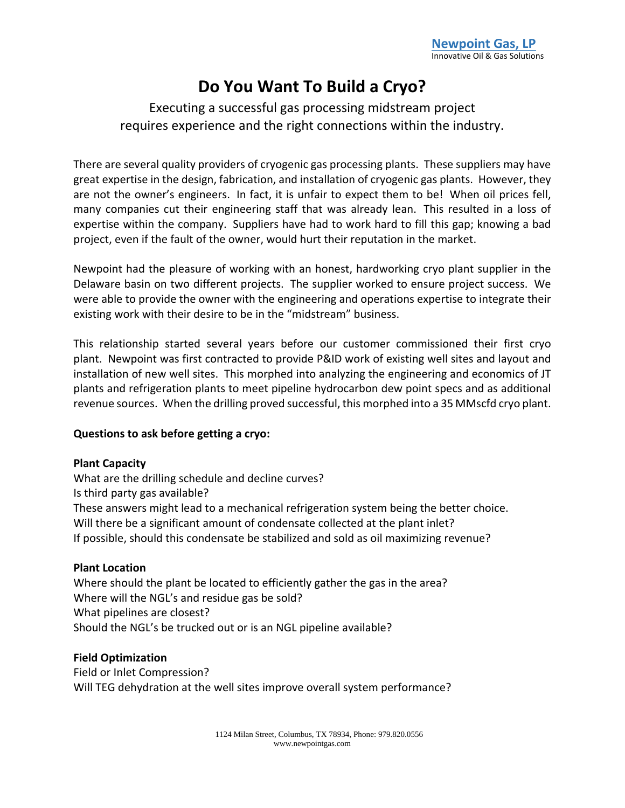# **Do You Want To Build a Cryo?**

# Executing a successful gas processing midstream project requires experience and the right connections within the industry.

There are several quality providers of cryogenic gas processing plants. These suppliers may have great expertise in the design, fabrication, and installation of cryogenic gas plants. However, they are not the owner's engineers. In fact, it is unfair to expect them to be! When oil prices fell, many companies cut their engineering staff that was already lean. This resulted in a loss of expertise within the company. Suppliers have had to work hard to fill this gap; knowing a bad project, even if the fault of the owner, would hurt their reputation in the market.

Newpoint had the pleasure of working with an honest, hardworking cryo plant supplier in the Delaware basin on two different projects. The supplier worked to ensure project success. We were able to provide the owner with the engineering and operations expertise to integrate their existing work with their desire to be in the "midstream" business.

This relationship started several years before our customer commissioned their first cryo plant. Newpoint was first contracted to provide P&ID work of existing well sites and layout and installation of new well sites. This morphed into analyzing the engineering and economics of JT plants and refrigeration plants to meet pipeline hydrocarbon dew point specs and as additional revenue sources. When the drilling proved successful, this morphed into a 35 MMscfd cryo plant.

## **Questions to ask before getting a cryo:**

#### **Plant Capacity**

What are the drilling schedule and decline curves? Is third party gas available? These answers might lead to a mechanical refrigeration system being the better choice. Will there be a significant amount of condensate collected at the plant inlet? If possible, should this condensate be stabilized and sold as oil maximizing revenue?

### **Plant Location**

Where should the plant be located to efficiently gather the gas in the area? Where will the NGL's and residue gas be sold? What pipelines are closest? Should the NGL's be trucked out or is an NGL pipeline available?

#### **Field Optimization**

Field or Inlet Compression? Will TEG dehydration at the well sites improve overall system performance?